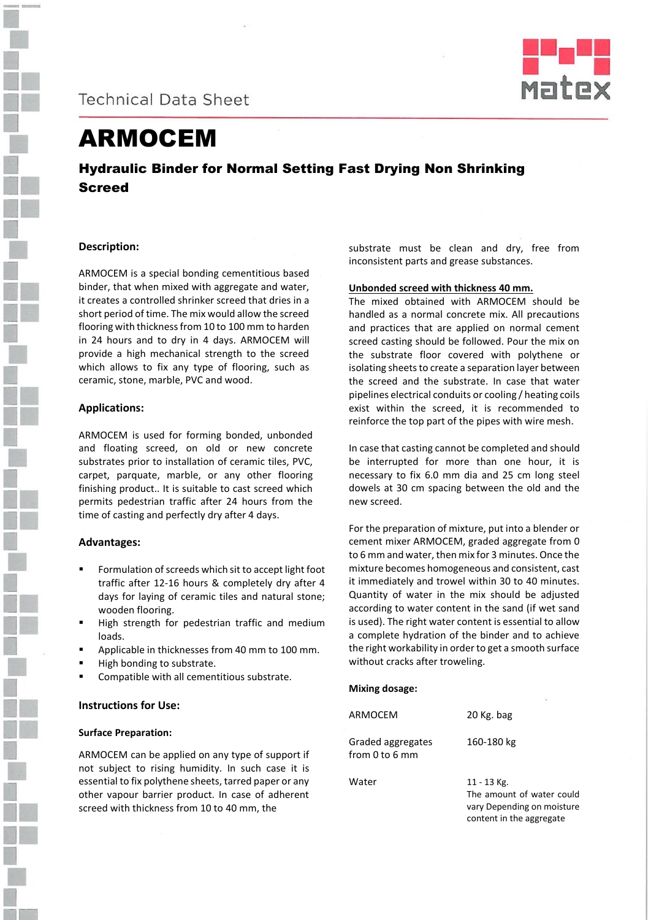



# ARMOCEM

# Hydraulic Binder for Normal Setting Fast Drying Non Shrinking **Screed**

## **Description:**

ARMOCEM is a special bonding cementitious based binder, that when mixed with aggregate and water, it creates a controlled shrinker screed that dries in a short period of time. The mix would allow the screed flooring with thickness from 10 to 100 mm to harden in 24 hours and to dry in 4 days. ARMOCEM will provide a high mechanical strength to the screed which allows to fix any type of flooring, such as ceramic, stone, marble, PVC and wood.

## **Applications:**

ARMOCEM is used for forming bonded, unbonded and floating screed, on old or new concrete substrates prior to installation of ceramic tiles, PVC, carpet, parquate, marble, or any other flooring finishing product.. It is suitable to cast screed which permits pedestrian traffic after 24 hours from the time of casting and perfectly dry after 4 days.

#### **Advantages:**

- Formulation of screeds which sit to accept light foot traffic after 12-16 hours & completely dry after 4 days for laying of ceramic tiles and natural stone; wooden flooring.
- High strength for pedestrian traffic and medium loads.
- Applicable in thicknesses from 40 mm to 100 mm.
- High bonding to substrate.
- Compatible with all cementitious substrate.

#### **Instructions for Use:**

#### **Surface Preparation:**

ARMOCEM can be applied on any type of support if not subject to rising humidity. In such case it is essential to fix polythene sheets, tarred paper or any other vapour barrier product. In case of adherent screed with thickness from 10 to 40 mm, the

substrate must be clean and dry, free from inconsistent parts and grease substances.

#### **Unbonded screed with thickness 40 mm.**

The mixed obtained with ARMOCEM should be handled as a normal concrete mix. All precautions and practices that are applied on normal cement screed casting should be followed. Pour the mix on the substrate floor covered with polythene or isolating sheets to create a separation layer between the screed and the substrate. In case that water pipelines electrical conduits or cooling / heating coils exist within the screed, it is recommended to reinforce the top part of the pipes with wire mesh.

In case that casting cannot be completed and should be interrupted for more than one hour, it is necessary to fix 6.0 mm dia and 25 cm long steel dowels at 30 cm spacing between the old and the new screed.

For the preparation of mixture, put into a blender or cement mixer ARMOCEM, graded aggregate from 0 to 6 mm and water, then mix for 3 minutes. Once the mixture becomes homogeneous and consistent, cast it immediately and trowel within 30 to 40 minutes. Quantity of water in the mix should be adjusted according to water content in the sand (if wet sand is used). The right water content is essential to allow a complete hydration of the binder and to achieve the right workability in order to get a smooth surface without cracks after troweling.

#### **Mixing dosage:**

| ARMOCEM                             | 20 Kg. bag                                                                                         |
|-------------------------------------|----------------------------------------------------------------------------------------------------|
| Graded aggregates<br>from 0 to 6 mm | 160-180 kg                                                                                         |
| Water                               | 11 - 13 Kg.<br>The amount of water could<br>vary Depending on moisture<br>content in the aggregate |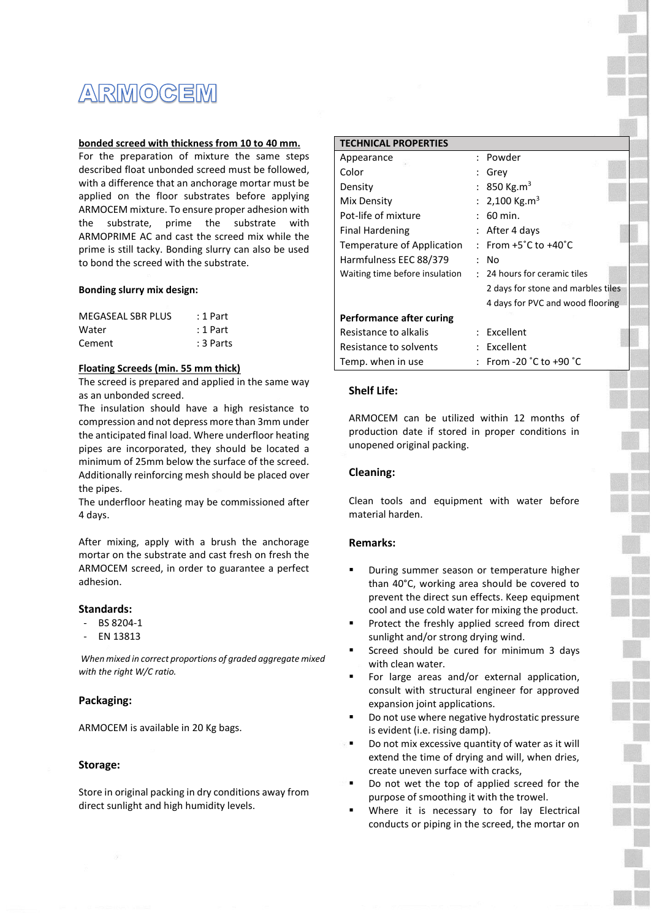# **ARMOGEM**

#### **bonded screed with thickness from 10 to 40 mm.**

For the preparation of mixture the same steps described float unbonded screed must be followed, with a difference that an anchorage mortar must be applied on the floor substrates before applying ARMOCEM mixture. To ensure proper adhesion with the substrate, prime the substrate with ARMOPRIME AC and cast the screed mix while the prime is still tacky. Bonding slurry can also be used to bond the screed with the substrate.

#### **Bonding slurry mix design:**

| MEGASEAL SBR PLUS | : 1 Part  |
|-------------------|-----------|
| Water             | : 1 Part  |
| Cement            | : 3 Parts |

#### **Floating Screeds (min. 55 mm thick)**

The screed is prepared and applied in the same way as an unbonded screed.

The insulation should have a high resistance to compression and not depress more than 3mm under the anticipated final load. Where underfloor heating pipes are incorporated, they should be located a minimum of 25mm below the surface of the screed. Additionally reinforcing mesh should be placed over the pipes.

The underfloor heating may be commissioned after 4 days.

After mixing, apply with a brush the anchorage mortar on the substrate and cast fresh on fresh the ARMOCEM screed, in order to guarantee a perfect adhesion.

#### **Standards:**

- BS 8204-1
- EN 13813

*When mixed in correct proportions of graded aggregate mixed with the right W/C ratio.*

#### **Packaging:**

ARMOCEM is available in 20 Kg bags.

#### **Storage:**

Store in original packing in dry conditions away from direct sunlight and high humidity levels.

| <b>TECHNICAL PROPERTIES</b>    |                                           |
|--------------------------------|-------------------------------------------|
| Appearance                     | : Powder                                  |
| Color                          | : Grey                                    |
| Density                        | : 850 Kg.m <sup>3</sup>                   |
| Mix Density                    | : 2,100 Kg.m <sup>3</sup>                 |
| Pot-life of mixture            | $: 60$ min.                               |
| <b>Final Hardening</b>         | : After 4 days                            |
| Temperature of Application     | : From $+5^{\circ}$ C to $+40^{\circ}$ C  |
| Harmfulness EEC 88/379         | : No                                      |
| Waiting time before insulation | : 24 hours for ceramic tiles              |
|                                | 2 days for stone and marbles tiles        |
|                                | 4 days for PVC and wood flooring          |
| Performance after curing       |                                           |
| Resistance to alkalis          | : Excellent                               |
| Resistance to solvents         | : Excellent                               |
| Temp. when in use              | From -20 $^{\circ}$ C to +90 $^{\circ}$ C |

# **Shelf Life:**

ARMOCEM can be utilized within 12 months of production date if stored in proper conditions in unopened original packing.

### **Cleaning:**

Clean tools and equipment with water before material harden.

#### **Remarks:**

- During summer season or temperature higher than 40°C, working area should be covered to prevent the direct sun effects. Keep equipment cool and use cold water for mixing the product.
- Protect the freshly applied screed from direct sunlight and/or strong drying wind.
- Screed should be cured for minimum 3 days with clean water.
- For large areas and/or external application, consult with structural engineer for approved expansion joint applications.
- Do not use where negative hydrostatic pressure is evident (i.e. rising damp).
- Do not mix excessive quantity of water as it will extend the time of drying and will, when dries, create uneven surface with cracks,
- Do not wet the top of applied screed for the purpose of smoothing it with the trowel.
- Where it is necessary to for lay Electrical conducts or piping in the screed, the mortar on